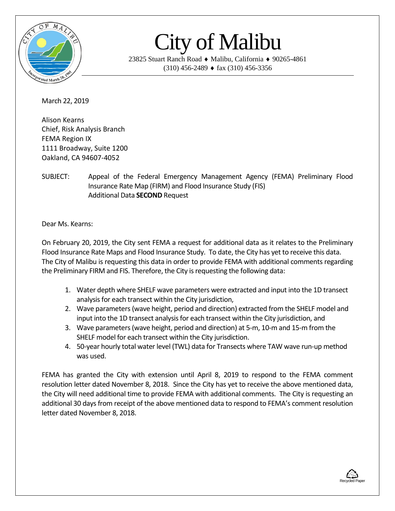

## City of Malibu

23825 Stuart Ranch Road ♦ Malibu, California ♦ 90265-4861  $(310)$  456-2489  $\bullet$  fax  $(310)$  456-3356

March 22, 2019

Alison Kearns Chief, Risk Analysis Branch FEMA Region IX 1111 Broadway, Suite 1200 Oakland, CA 94607-4052

SUBJECT: Appeal of the Federal Emergency Management Agency (FEMA) Preliminary Flood Insurance Rate Map (FIRM) and Flood Insurance Study (FIS) Additional Data **SECOND** Request

Dear Ms. Kearns:

On February 20, 2019, the City sent FEMA a request for additional data as it relates to the Preliminary Flood Insurance Rate Maps and Flood Insurance Study. To date, the City has yet to receive this data. The City of Malibu is requesting this data in order to provide FEMA with additional comments regarding the Preliminary FIRM and FIS. Therefore, the City is requesting the following data:

- 1. Water depth where SHELF wave parameters were extracted and input into the 1D transect analysis for each transect within the City jurisdiction,
- 2. Wave parameters (wave height, period and direction) extracted from the SHELF model and input into the 1D transect analysis for each transect within the City jurisdiction, and
- 3. Wave parameters (wave height, period and direction) at 5-m, 10-m and 15-m from the SHELF model for each transect within the City jurisdiction.
- 4. 50-year hourly total water level (TWL) data for Transects where TAW wave run-up method was used.

FEMA has granted the City with extension until April 8, 2019 to respond to the FEMA comment resolution letter dated November 8, 2018. Since the City has yet to receive the above mentioned data, the City will need additional time to provide FEMA with additional comments. The City is requesting an additional 30 days from receipt of the above mentioned data to respond to FEMA's comment resolution letter dated November 8, 2018.